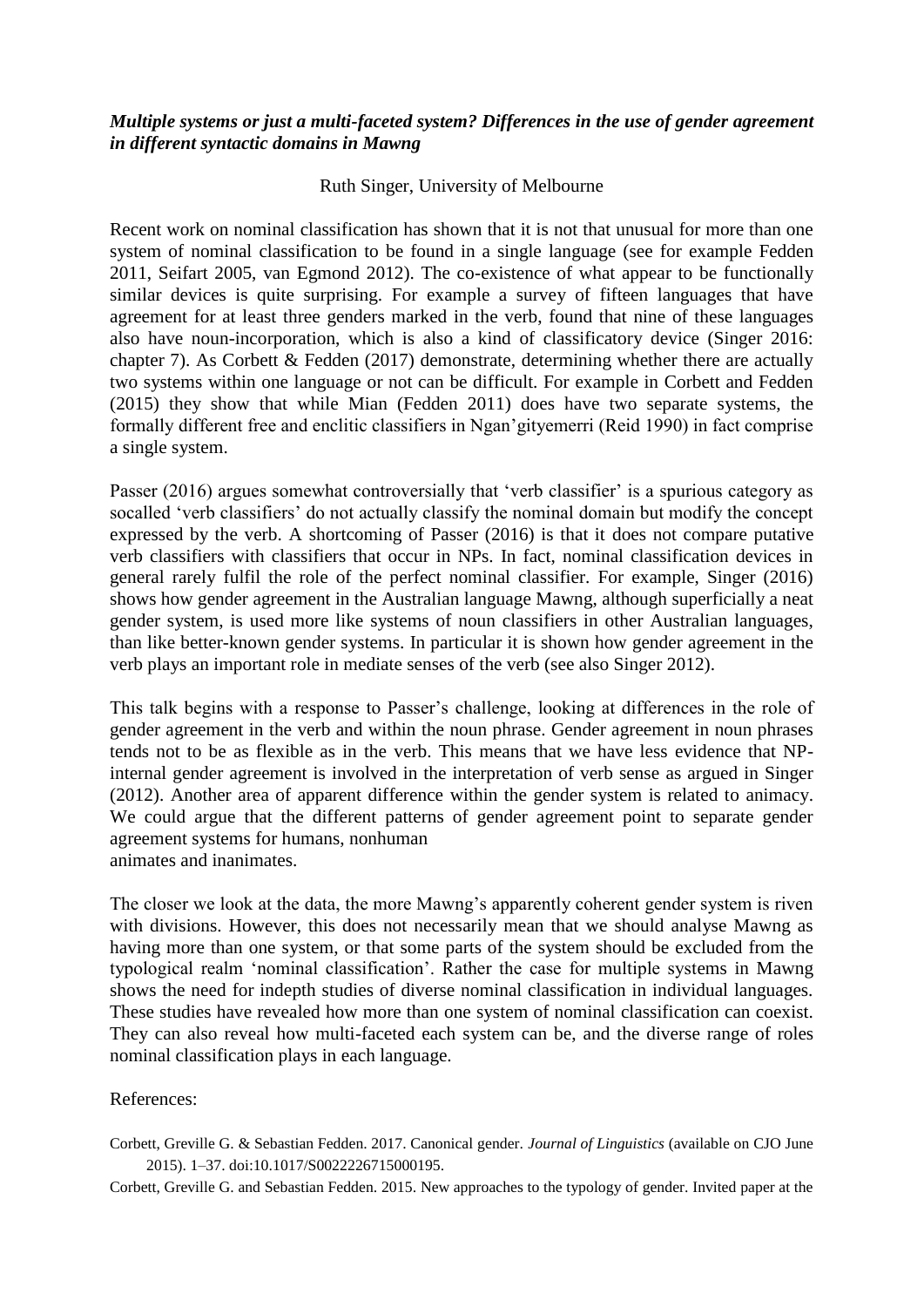## *Multiple systems or just a multi-faceted system? Differences in the use of gender agreement in different syntactic domains in Mawng*

## Ruth Singer, University of Melbourne

Recent work on nominal classification has shown that it is not that unusual for more than one system of nominal classification to be found in a single language (see for example Fedden 2011, Seifart 2005, van Egmond 2012). The co-existence of what appear to be functionally similar devices is quite surprising. For example a survey of fifteen languages that have agreement for at least three genders marked in the verb, found that nine of these languages also have noun-incorporation, which is also a kind of classificatory device (Singer 2016: chapter 7). As Corbett & Fedden (2017) demonstrate, determining whether there are actually two systems within one language or not can be difficult. For example in Corbett and Fedden (2015) they show that while Mian (Fedden 2011) does have two separate systems, the formally different free and enclitic classifiers in Ngan'gityemerri (Reid 1990) in fact comprise a single system.

Passer (2016) argues somewhat controversially that 'verb classifier' is a spurious category as socalled 'verb classifiers' do not actually classify the nominal domain but modify the concept expressed by the verb. A shortcoming of Passer (2016) is that it does not compare putative verb classifiers with classifiers that occur in NPs. In fact, nominal classification devices in general rarely fulfil the role of the perfect nominal classifier. For example, Singer (2016) shows how gender agreement in the Australian language Mawng, although superficially a neat gender system, is used more like systems of noun classifiers in other Australian languages, than like better-known gender systems. In particular it is shown how gender agreement in the verb plays an important role in mediate senses of the verb (see also Singer 2012).

This talk begins with a response to Passer's challenge, looking at differences in the role of gender agreement in the verb and within the noun phrase. Gender agreement in noun phrases tends not to be as flexible as in the verb. This means that we have less evidence that NPinternal gender agreement is involved in the interpretation of verb sense as argued in Singer (2012). Another area of apparent difference within the gender system is related to animacy. We could argue that the different patterns of gender agreement point to separate gender agreement systems for humans, nonhuman animates and inanimates.

The closer we look at the data, the more Mawng's apparently coherent gender system is riven with divisions. However, this does not necessarily mean that we should analyse Mawng as having more than one system, or that some parts of the system should be excluded from the typological realm 'nominal classification'. Rather the case for multiple systems in Mawng shows the need for indepth studies of diverse nominal classification in individual languages. These studies have revealed how more than one system of nominal classification can coexist. They can also reveal how multi-faceted each system can be, and the diverse range of roles nominal classification plays in each language.

## References:

Corbett, Greville G. & Sebastian Fedden. 2017. Canonical gender. *Journal of Linguistics* (available on CJO June 2015). 1–37. doi:10.1017/S0022226715000195.

Corbett, Greville G. and Sebastian Fedden. 2015. New approaches to the typology of gender. Invited paper at the